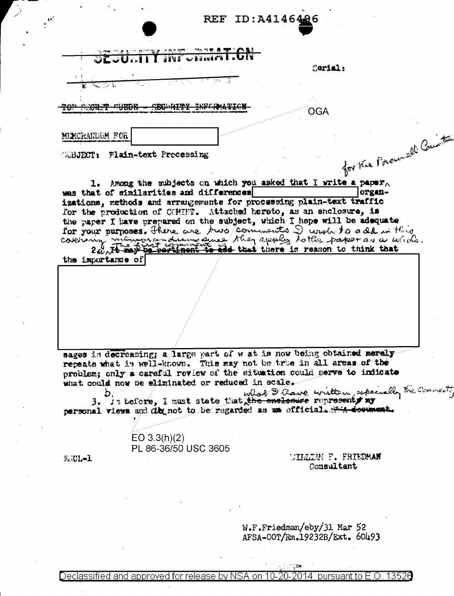|                   | SEGURITY INFORMATION                                                                                                                                                                                                                                                                                                                                                                                                     |  |                                  |        |                                              |
|-------------------|--------------------------------------------------------------------------------------------------------------------------------------------------------------------------------------------------------------------------------------------------------------------------------------------------------------------------------------------------------------------------------------------------------------------------|--|----------------------------------|--------|----------------------------------------------|
|                   |                                                                                                                                                                                                                                                                                                                                                                                                                          |  | Cerial:                          |        |                                              |
|                   |                                                                                                                                                                                                                                                                                                                                                                                                                          |  |                                  |        |                                              |
|                   |                                                                                                                                                                                                                                                                                                                                                                                                                          |  |                                  |        |                                              |
|                   |                                                                                                                                                                                                                                                                                                                                                                                                                          |  |                                  |        |                                              |
|                   |                                                                                                                                                                                                                                                                                                                                                                                                                          |  | <b>OGA</b>                       |        |                                              |
| MIXCRANDOM FOR    |                                                                                                                                                                                                                                                                                                                                                                                                                          |  |                                  |        |                                              |
|                   |                                                                                                                                                                                                                                                                                                                                                                                                                          |  |                                  |        |                                              |
|                   | <b>GGBJECT:</b> Plain-text Processing                                                                                                                                                                                                                                                                                                                                                                                    |  |                                  |        | for the Power all Committee                  |
|                   |                                                                                                                                                                                                                                                                                                                                                                                                                          |  |                                  |        |                                              |
|                   | 1. Among the subjects on which you asked that I write a paper.                                                                                                                                                                                                                                                                                                                                                           |  |                                  |        |                                              |
|                   | was that of similarities and differences                                                                                                                                                                                                                                                                                                                                                                                 |  |                                  | organ- |                                              |
|                   | izations, methods and arrangements for processing plain-text traffic                                                                                                                                                                                                                                                                                                                                                     |  |                                  |        |                                              |
|                   | for the production of COMINT. Attached hereto, as an enclosure, is<br>the paper I have prepared on the subject, which I hope will be adequate                                                                                                                                                                                                                                                                            |  |                                  |        |                                              |
|                   | for your purposes. There are two comments I wrote to a dd in this                                                                                                                                                                                                                                                                                                                                                        |  |                                  |        |                                              |
|                   | covering minimums and the apply to the paper as a whole.                                                                                                                                                                                                                                                                                                                                                                 |  |                                  |        |                                              |
|                   |                                                                                                                                                                                                                                                                                                                                                                                                                          |  |                                  |        |                                              |
|                   |                                                                                                                                                                                                                                                                                                                                                                                                                          |  |                                  |        |                                              |
| the importance of |                                                                                                                                                                                                                                                                                                                                                                                                                          |  |                                  |        |                                              |
|                   |                                                                                                                                                                                                                                                                                                                                                                                                                          |  |                                  |        |                                              |
|                   |                                                                                                                                                                                                                                                                                                                                                                                                                          |  |                                  |        |                                              |
|                   |                                                                                                                                                                                                                                                                                                                                                                                                                          |  |                                  |        |                                              |
|                   |                                                                                                                                                                                                                                                                                                                                                                                                                          |  |                                  |        |                                              |
|                   |                                                                                                                                                                                                                                                                                                                                                                                                                          |  |                                  |        |                                              |
|                   |                                                                                                                                                                                                                                                                                                                                                                                                                          |  |                                  |        |                                              |
|                   | sages is decreasing; a large part of wat is now being obtained merely-<br>repeats what is well-known. This way not be true in all areas of the<br>problem; only a careful review of the situation could serve to indicate<br>what could now be eliminated or reduced in scale.<br>3. Is before, I must state that the enclosure representy my<br>personal views and dby not to be regarded as as official. The document. |  |                                  |        | what I have written, especially the comments |
|                   |                                                                                                                                                                                                                                                                                                                                                                                                                          |  |                                  |        |                                              |
|                   | EO $3.3(h)(2)$<br>PL 86-36/50 USC 3605                                                                                                                                                                                                                                                                                                                                                                                   |  |                                  |        |                                              |
| Feicl-1           |                                                                                                                                                                                                                                                                                                                                                                                                                          |  | <b><i>NILLAM F. FRIUDMAN</i></b> |        |                                              |
|                   |                                                                                                                                                                                                                                                                                                                                                                                                                          |  | Consultant                       |        |                                              |
|                   |                                                                                                                                                                                                                                                                                                                                                                                                                          |  |                                  |        |                                              |
|                   |                                                                                                                                                                                                                                                                                                                                                                                                                          |  |                                  |        |                                              |
|                   |                                                                                                                                                                                                                                                                                                                                                                                                                          |  |                                  |        |                                              |
|                   |                                                                                                                                                                                                                                                                                                                                                                                                                          |  | $W.F.Friedman/eby/31$ . Mar 52   |        |                                              |

 $\vec{e}$ 

 $\mathcal{F}_{\mathcal{A}}$ 

 $\hat{\mathbf{z}}_i$ 

 $\sim$ 

 $\sum_{i=1}^{n}$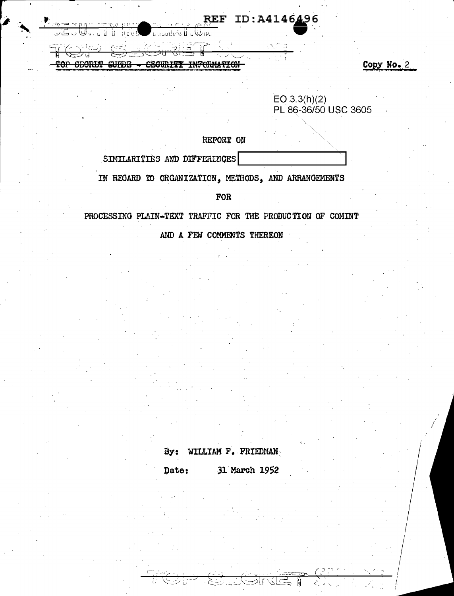| REF ID: A4146496<br>$\overline{AB}$ $\overline{CD}$ $\overline{CD}$ $\overline{CD}$ $\overline{CD}$ $\overline{CD}$ $\overline{CD}$ $\overline{CD}$ |  |
|-----------------------------------------------------------------------------------------------------------------------------------------------------|--|
| $\bigcup$ coorders $\mathbb{F}_q$<br>. ، ولگا پ ڪاپي                                                                                                |  |
| <b>SPANIEL CREAK TRIPLE TO</b>                                                                                                                      |  |
| $\sim$ $\sim$ $\sim$ $\sim$ $\sim$<br><b>TAURATHEART ON</b><br>הרחו<br>. .<br>wuland<br>.                                                           |  |
|                                                                                                                                                     |  |

EO 3.3(h)(2)<br>PL 86-36/50 USC 3605

 $\overline{c}$ 

REPORT ON

SIMILARITIES AND DIFFERENCES

IN REGARD TO ORGANIZATION, METHODS, AND ARRANGEMENTS

FOR

PROCESSING PLAIN-TEXT TRAFFIC FOR THE PRODUCTION OF COMINT

AND A FEW COMMENTS THEREON

## By: WILLIAM F. FRIEDMAN

31 March 1952 Date: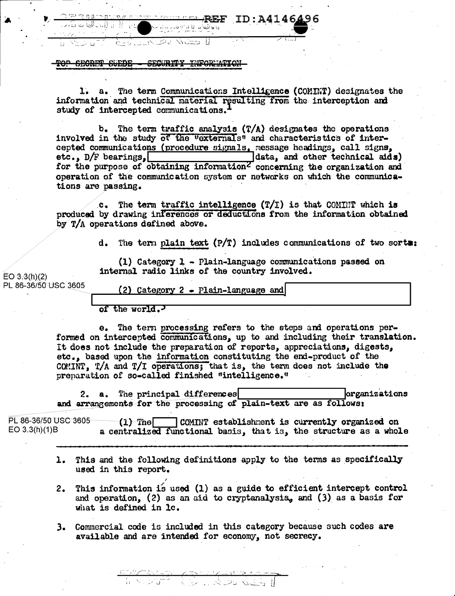TOP SECRET SUEDE - SECURITY INFORMATION

WGS H

<u>telastiko</u>

1. a. The term Communications Intelligence (COMINT) designates the information and technical material resulting from the interception and study of intercepted communications.

 $-$  REF ID: A4146496

b. The term traffic analysis  $(T/A)$  designates the operations involved in the study of the "externals" and characteristics of intercepted communications (procedure signals, message headings, call signs, data, and other technical aids) etc.,  $D/F$  bearings. for the purpose of obtaining information<sup>Z</sup> concerning the organization and operation of the communication system or networks on which the communications are passing.

c. The term traffic intelligence  $(T/T)$  is that COMINT which is produced by drawing inferences or deductions from the information obtained by T/A operations defined above.

d. The term plain text  $(P/T)$  includes communications of two sorts:

(1) Category  $1$  - Plain-language communications passed on internal radio links of the country involved.

 $EO(3.3(h)(2)$ PL 86-36/50 USC 3605

(2) Category  $2$  - Plain-language and

of the world.

e. The term processing refers to the steps and operations performed on intercepted communications, up to and including their translation. It does not include the preparation of reports, appreciations, digests, etc., based upon the information constituting the end-product of the COMINT, T/A and T/I operations; that is, the term does not include the preparation of so-called finished "intelligence."

a. The principal differences lorganizations 2. and arrangements for the processing of plain-text are as follows:

PL 86-36/50 USC 3605  $(1)$  The COMINT establishment is currently organized on  $EO 3.3(h)(1)B$ a centralized functional basis, that is, the structure as a whole

- 1. This and the following definitions apply to the terms as specifically used in this report.
- This information is used (1) as a guide to efficient intercept control  $2.$ and operation, (2) as an aid to cryptanalysis, and (3) as a basis for what is defined in lc.
- 3. Commercial code is included in this category because such codes are available and are intended for economy, not secrecy.

<u>Cantor Communications</u><br>Monte Communication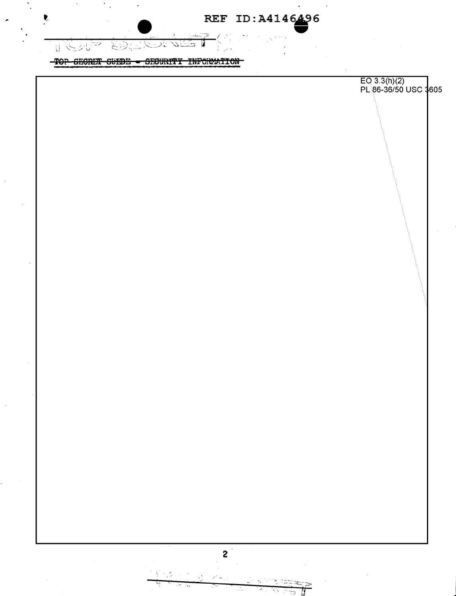TOP SECRET SUEDE - SECURITY INFORMATION

了没死了

**KONNER** 

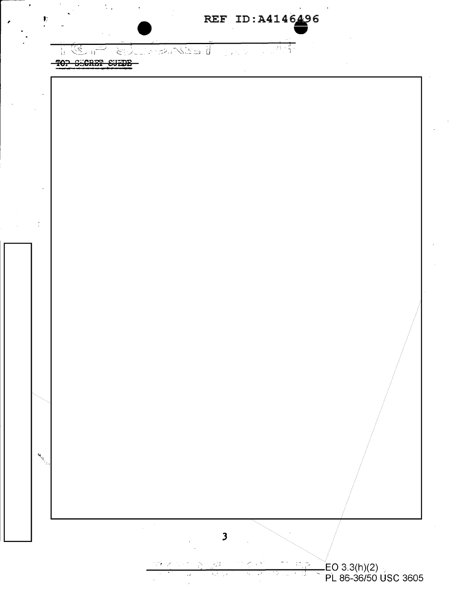**TEACER SEARCH CENT**  $\mathcal{E}_{\mathcal{P}}^{\star}$  $\mathcal{L}$ Lender

TOP SECRET SUEDE

Đ

 $\mathbf{A}^{\hat{f}}$ 

 $\mathbb{Z}$  .

LEO 3.3(h)(2)<br>PL 86-36/50 USC 3605

 $\ddot{\phantom{0}}$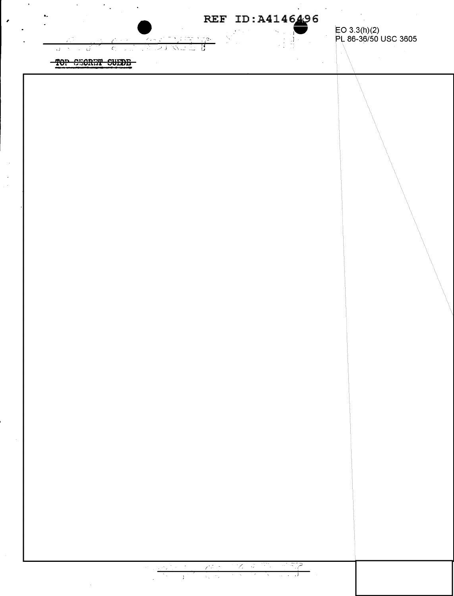$\left(\begin{array}{c} 1 \\ 0 \end{array}\right)$ 

 $\sim$   $\,$  s  $\sim$ ा としご いつま **WEB**  $\sqrt{2}$  $\bar{s}_1$ ان <sub>-</sub>

EO 3.3(h)(2)<br>PL 86-36/50 USC 3605

TOP CEORET SUEDE

 $\mathcal{O}(\frac{1}{2})$ 

 $\mathcal{L}_{\mathcal{A}}$ 

 $\bullet_\star$ 

.

 $73.5$  $\mathscr{L}\otimes\mathscr{L}$  $\sim$ 1902 F ಿದ್ದಾ

 $\mathcal{O}(\mathcal{C})$ ा  $\pm 1$  $\mathcal{L}_{\mathbf{x}} = \mathcal{L}_{\mathbf{x}}$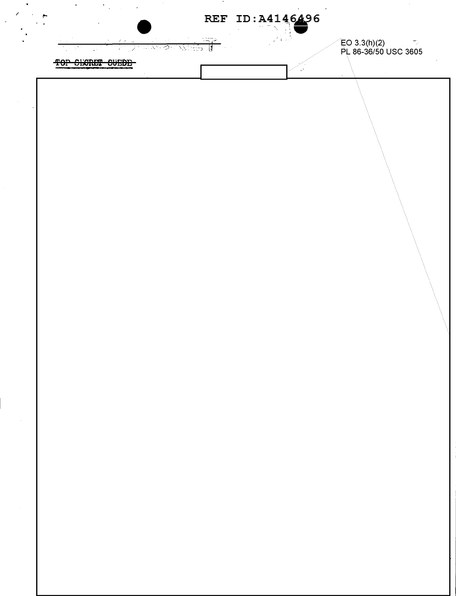$\ddot{\phantom{0}}$ 

またず 721555 B - 12  $\mathcal{L}$ -č

EO 3.3(h)(2)<br>PL 86-36/50 USC 3605

TOP SHORET SUEDE

 $\ddot{\phantom{a}}$ 

 $\ddot{\phantom{1}}$ 

 $\mathcal{F}_{\mathcal{A}}$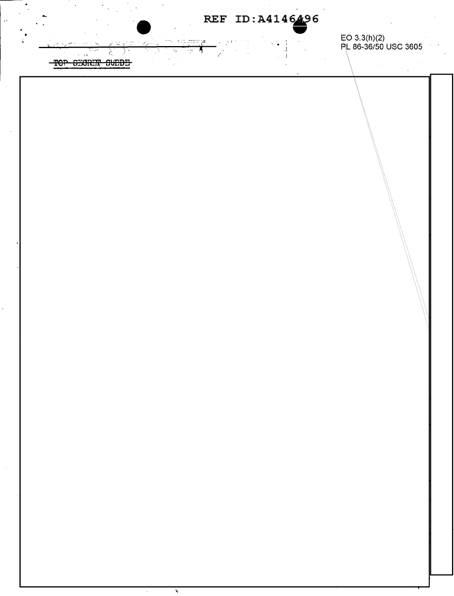REF ID: A4146496

 $\sim$ 

 $\mathcal{L}$ 

 $\mathbf{I}$ 

 $\frac{1}{1-\sqrt{1-\frac{1}{2}}}\frac{1}{\sqrt{1-\frac{1}{2}}}\frac{1}{\sqrt{1-\frac{1}{2}}}\frac{1}{\sqrt{1-\frac{1}{2}}}\frac{1}{\sqrt{1-\frac{1}{2}}}\frac{1}{\sqrt{1-\frac{1}{2}}}\frac{1}{\sqrt{1-\frac{1}{2}}}\frac{1}{\sqrt{1-\frac{1}{2}}}\frac{1}{\sqrt{1-\frac{1}{2}}}\frac{1}{\sqrt{1-\frac{1}{2}}}\frac{1}{\sqrt{1-\frac{1}{2}}}\frac{1}{\sqrt{1-\frac{1}{2}}}\frac{1}{\sqrt{1-\frac{1}{2}}}\frac{1}{\sqrt{1-\frac$ 

 $\overline{\phantom{a}}$ 

 $\overline{\mathcal{A}}$ 

 $\frac{1}{4}$ 

EO 3.3(h)(2)<br>PL 86-36/50 USC 3605

 $\lambda$ 

TOP SECRET SUEDE

 $\hat{z} = \hat{\xi} \hat{y}$ 

 $\ddot{\phantom{0}}$ 

 $\sum_{i=1}^{n}$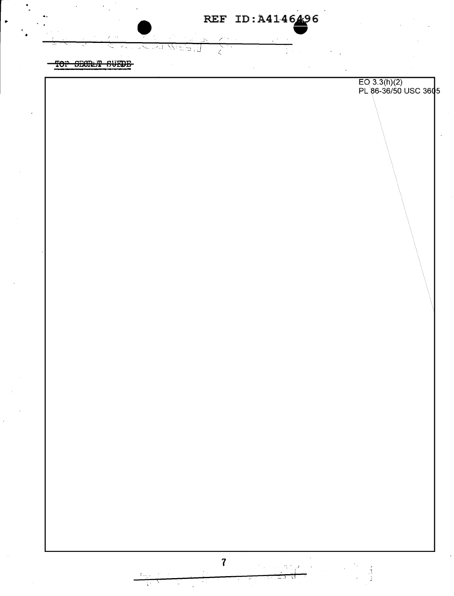TOP SECRET SUEDE

żμ

バミ

.<br>... J

έ